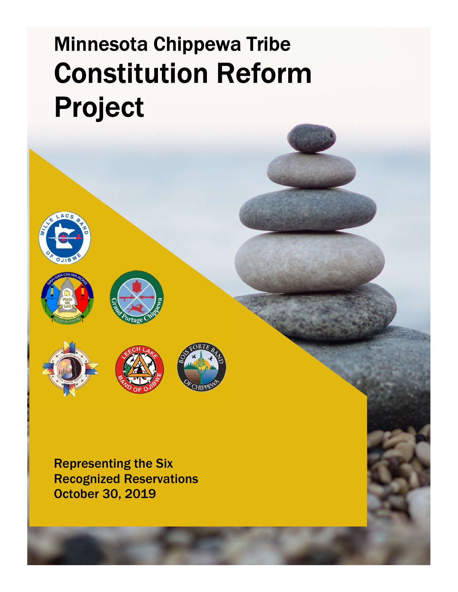# Minnesota Chippewa Tribe Constitution Reform Project









Representing the Six Recognized Reservations October 30, 2019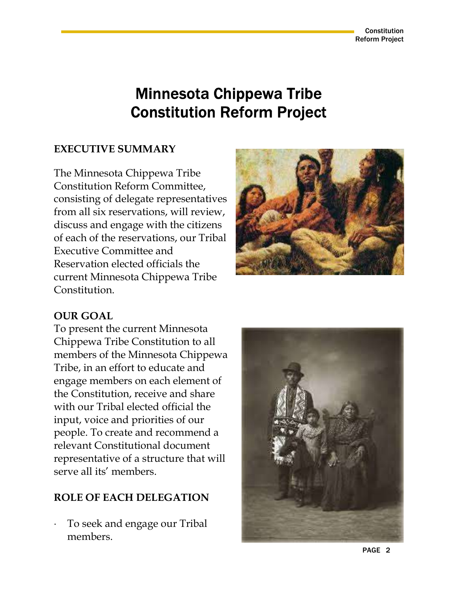# Minnesota Chippewa Tribe Constitution Reform Project

# EXECUTIVE SUMMARY

The Minnesota Chippewa Tribe Constitution Reform Committee, consisting of delegate representatives from all six reservations, will review, discuss and engage with the citizens of each of the reservations, our Tribal Executive Committee and Reservation elected officials the current Minnesota Chippewa Tribe Constitution.



## OUR GOAL

To present the current Minnesota Chippewa Tribe Constitution to all members of the Minnesota Chippewa Tribe, in an effort to educate and engage members on each element of the Constitution, receive and share with our Tribal elected official the input, voice and priorities of our people. To create and recommend a relevant Constitutional document representative of a structure that will serve all its' members.

## ROLE OF EACH DELEGATION

 To seek and engage our Tribal members.

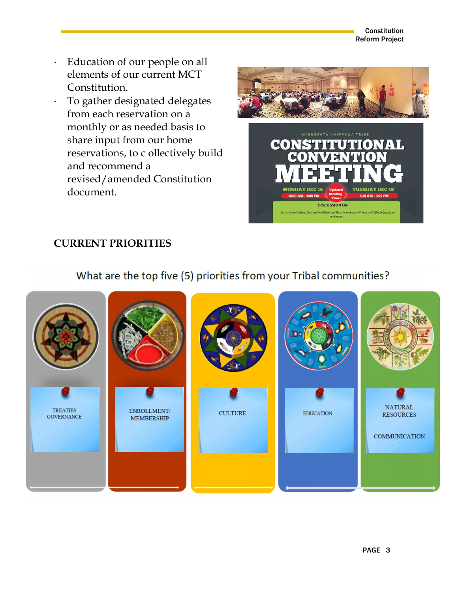Constitution Reform Project

- Education of our people on all elements of our current MCT Constitution.
- To gather designated delegates from each reservation on a monthly or as needed basis to share input from our home reservations, to c ollectively build and recommend a revised/amended Constitution document.



# CURRENT PRIORITIES

# What are the top five (5) priorities from your Tribal communities?

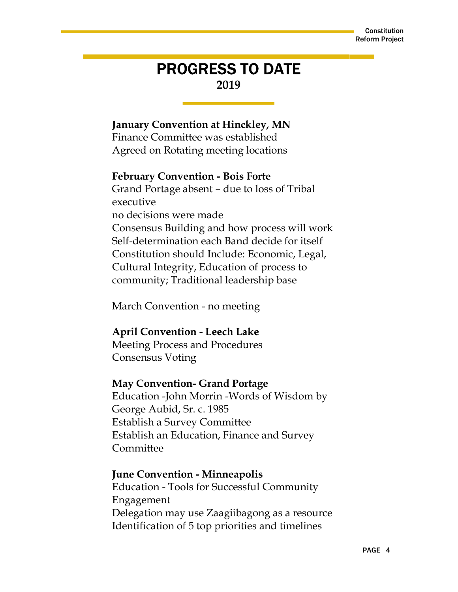# PROGRESS TO DATE 2019

## January Convention at Hinckley, MN

Finance Committee was established Agreed on Rotating meeting locations

#### February Convention - Bois Forte

Grand Portage absent – due to loss of Tribal executive no decisions were made Consensus Building and how process will work Self-determination each Band decide for itself Constitution should Include: Economic, Legal, Cultural Integrity, Education of process to community; Traditional leadership base

March Convention - no meeting

#### April Convention - Leech Lake

Meeting Process and Procedures Consensus Voting

#### May Convention- Grand Portage

Education -John Morrin -Words of Wisdom by George Aubid, Sr. c. 1985 Establish a Survey Committee Establish an Education, Finance and Survey Committee

#### June Convention - Minneapolis

Education - Tools for Successful Community Engagement Delegation may use Zaagiibagong as a resource Identification of 5 top priorities and timelines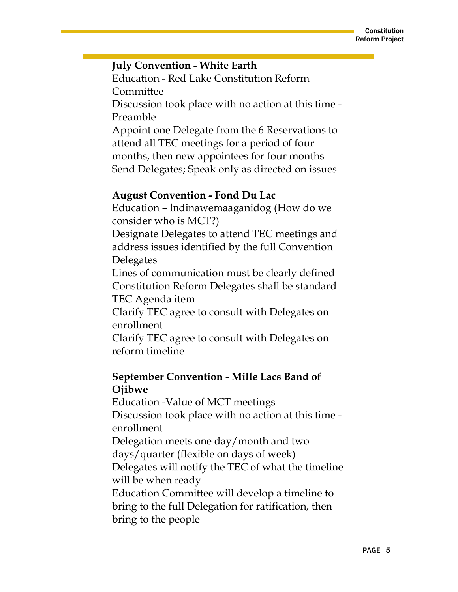#### July Convention - White Earth

Education - Red Lake Constitution Reform Committee

Discussion took place with no action at this time - Preamble

Appoint one Delegate from the 6 Reservations to attend all TEC meetings for a period of four months, then new appointees for four months Send Delegates; Speak only as directed on issues

#### August Convention - Fond Du Lac

Education – lndinawemaaganidog (How do we consider who is MCT?)

Designate Delegates to attend TEC meetings and address issues identified by the full Convention Delegates

Lines of communication must be clearly defined Constitution Reform Delegates shall be standard TEC Agenda item

Clarify TEC agree to consult with Delegates on enrollment

Clarify TEC agree to consult with Delegates on reform timeline

# September Convention - Mille Lacs Band of Ojibwe

Education -Value of MCT meetings Discussion took place with no action at this time enrollment Delegation meets one day/month and two days/quarter (flexible on days of week) Delegates will notify the TEC of what the timeline will be when ready Education Committee will develop a timeline to bring to the full Delegation for ratification, then bring to the people